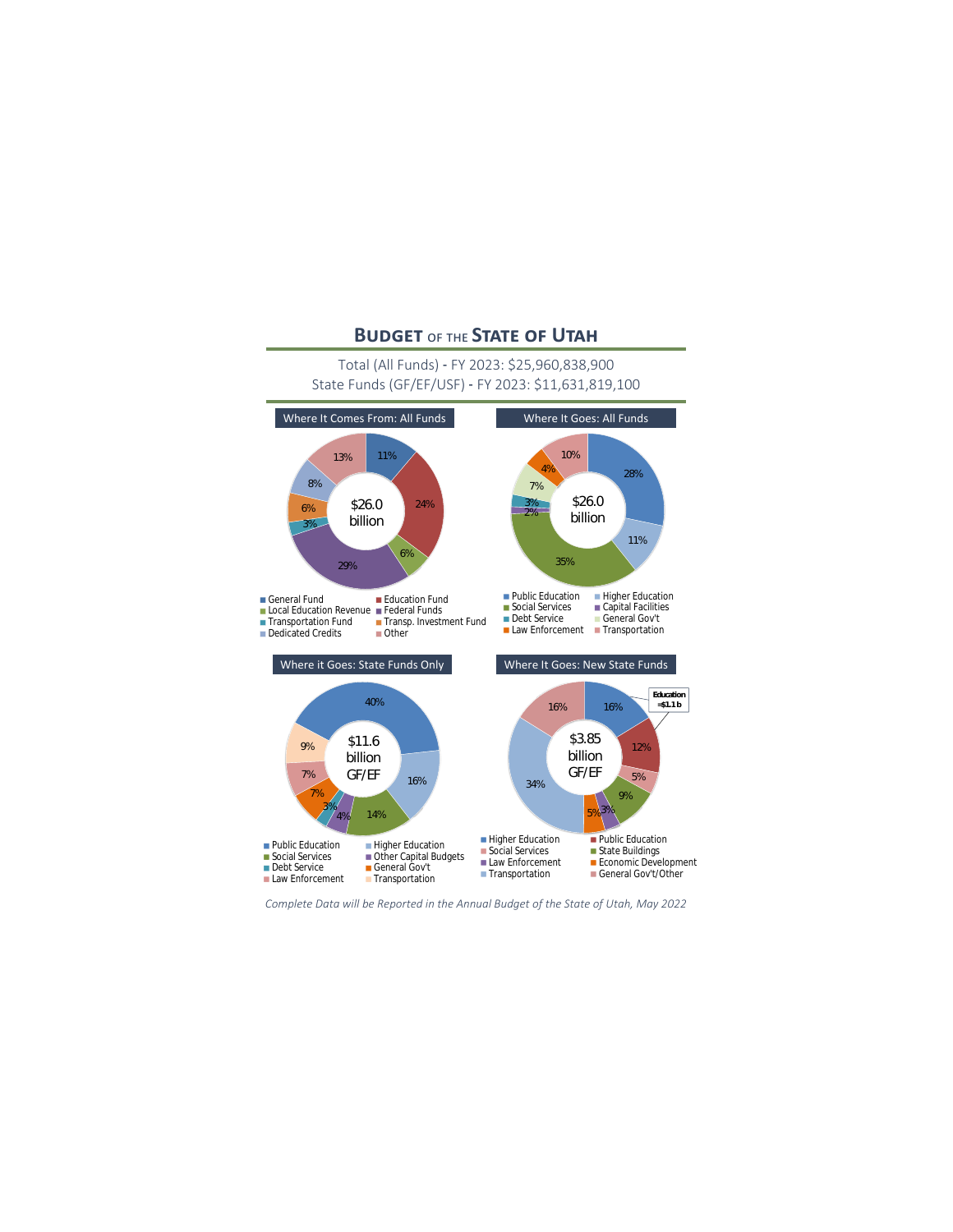# **Budget** of the **State of Utah**

## Total (All Funds) - FY 2023: \$25,960,838,900 State Funds (GF/EF/USF) - FY 2023: \$11,631,819,100



*Complete Data will be Reported in the Annual Budget of the State of Utah, May 2022*